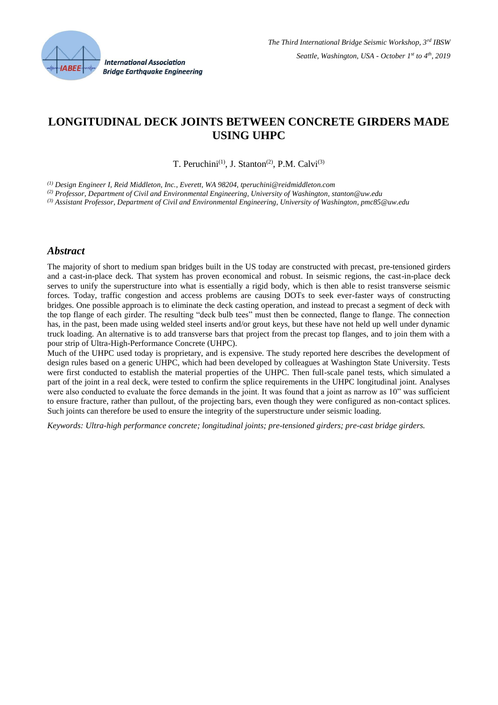

# **LONGITUDINAL DECK JOINTS BETWEEN CONCRETE GIRDERS MADE USING UHPC**

T. Peruchini<sup>(1)</sup>, J. Stanton<sup>(2)</sup>, P.M. Calvi<sup>(3)</sup>

*(1) Design Engineer I, Reid Middleton, Inc., Everett, WA 98204, tperuchini@reidmiddleton.com*

*(2) Professor, Department of Civil and Environmental Engineering, University of Washington, stanton@uw.edu*

*(3) Assistant Professor, Department of Civil and Environmental Engineering, University of Washington, pmc85@uw.edu*

#### *Abstract*

The majority of short to medium span bridges built in the US today are constructed with precast, pre-tensioned girders and a cast-in-place deck. That system has proven economical and robust. In seismic regions, the cast-in-place deck serves to unify the superstructure into what is essentially a rigid body, which is then able to resist transverse seismic forces. Today, traffic congestion and access problems are causing DOTs to seek ever-faster ways of constructing bridges. One possible approach is to eliminate the deck casting operation, and instead to precast a segment of deck with the top flange of each girder. The resulting "deck bulb tees" must then be connected, flange to flange. The connection has, in the past, been made using welded steel inserts and/or grout keys, but these have not held up well under dynamic truck loading. An alternative is to add transverse bars that project from the precast top flanges, and to join them with a pour strip of Ultra-High-Performance Concrete (UHPC).

Much of the UHPC used today is proprietary, and is expensive. The study reported here describes the development of design rules based on a generic UHPC, which had been developed by colleagues at Washington State University. Tests were first conducted to establish the material properties of the UHPC. Then full-scale panel tests, which simulated a part of the joint in a real deck, were tested to confirm the splice requirements in the UHPC longitudinal joint. Analyses were also conducted to evaluate the force demands in the joint. It was found that a joint as narrow as 10" was sufficient to ensure fracture, rather than pullout, of the projecting bars, even though they were configured as non-contact splices. Such joints can therefore be used to ensure the integrity of the superstructure under seismic loading.

*Keywords: Ultra-high performance concrete; longitudinal joints; pre-tensioned girders; pre-cast bridge girders.*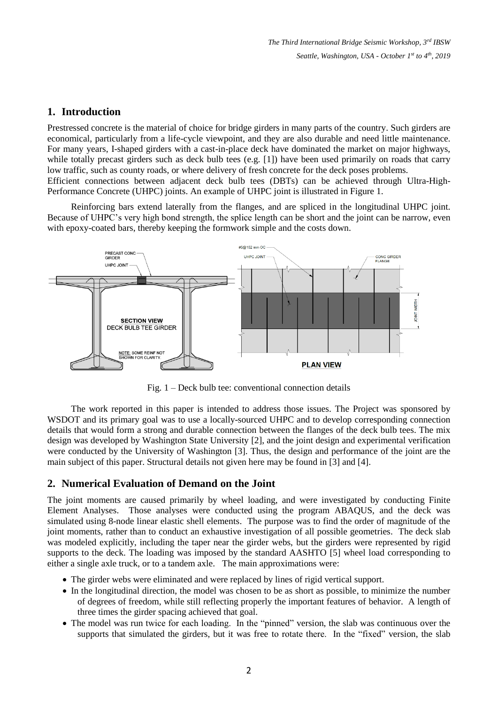## **1. Introduction**

Prestressed concrete is the material of choice for bridge girders in many parts of the country. Such girders are economical, particularly from a life-cycle viewpoint, and they are also durable and need little maintenance. For many years, I-shaped girders with a cast-in-place deck have dominated the market on major highways, while totally precast girders such as deck bulb tees (e.g. [1]) have been used primarily on roads that carry low traffic, such as county roads, or where delivery of fresh concrete for the deck poses problems. Efficient connections between adjacent deck bulb tees (DBTs) can be achieved through Ultra-High-Performance Concrete (UHPC) joints. An example of UHPC joint is illustrated in Figure 1.

Reinforcing bars extend laterally from the flanges, and are spliced in the longitudinal UHPC joint. Because of UHPC's very high bond strength, the splice length can be short and the joint can be narrow, even with epoxy-coated bars, thereby keeping the formwork simple and the costs down.



Fig. 1 – Deck bulb tee: conventional connection details

The work reported in this paper is intended to address those issues. The Project was sponsored by WSDOT and its primary goal was to use a locally-sourced UHPC and to develop corresponding connection details that would form a strong and durable connection between the flanges of the deck bulb tees. The mix design was developed by Washington State University [2], and the joint design and experimental verification were conducted by the University of Washington [3]. Thus, the design and performance of the joint are the main subject of this paper. Structural details not given here may be found in [3] and [4].

## **2. Numerical Evaluation of Demand on the Joint**

The joint moments are caused primarily by wheel loading, and were investigated by conducting Finite Element Analyses. Those analyses were conducted using the program ABAQUS, and the deck was simulated using 8-node linear elastic shell elements. The purpose was to find the order of magnitude of the joint moments, rather than to conduct an exhaustive investigation of all possible geometries. The deck slab was modeled explicitly, including the taper near the girder webs, but the girders were represented by rigid supports to the deck. The loading was imposed by the standard AASHTO [5] wheel load corresponding to either a single axle truck, or to a tandem axle. The main approximations were:

- The girder webs were eliminated and were replaced by lines of rigid vertical support.
- In the longitudinal direction, the model was chosen to be as short as possible, to minimize the number of degrees of freedom, while still reflecting properly the important features of behavior. A length of three times the girder spacing achieved that goal.
- The model was run twice for each loading. In the "pinned" version, the slab was continuous over the supports that simulated the girders, but it was free to rotate there. In the "fixed" version, the slab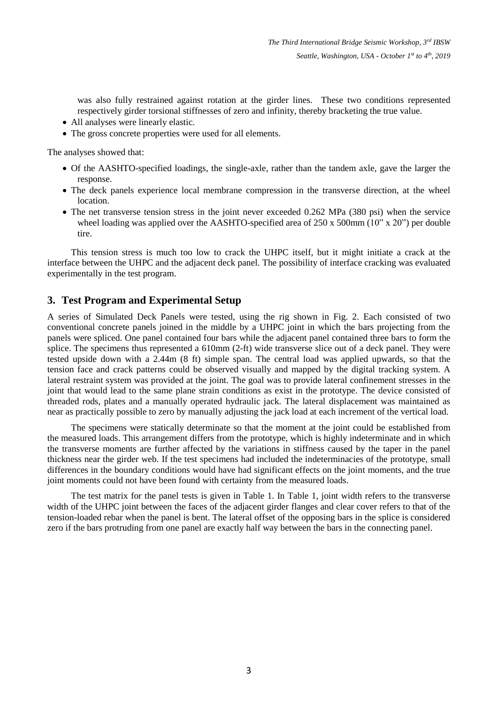was also fully restrained against rotation at the girder lines. These two conditions represented respectively girder torsional stiffnesses of zero and infinity, thereby bracketing the true value.

- All analyses were linearly elastic.
- The gross concrete properties were used for all elements.

The analyses showed that:

- Of the AASHTO-specified loadings, the single-axle, rather than the tandem axle, gave the larger the response.
- The deck panels experience local membrane compression in the transverse direction, at the wheel location.
- The net transverse tension stress in the joint never exceeded 0.262 MPa (380 psi) when the service wheel loading was applied over the AASHTO-specified area of 250 x 500mm (10" x 20") per double tire.

This tension stress is much too low to crack the UHPC itself, but it might initiate a crack at the interface between the UHPC and the adjacent deck panel. The possibility of interface cracking was evaluated experimentally in the test program.

#### **3. Test Program and Experimental Setup**

A series of Simulated Deck Panels were tested, using the rig shown in Fig. 2. Each consisted of two conventional concrete panels joined in the middle by a UHPC joint in which the bars projecting from the panels were spliced. One panel contained four bars while the adjacent panel contained three bars to form the splice. The specimens thus represented a 610mm (2-ft) wide transverse slice out of a deck panel. They were tested upside down with a 2.44m (8 ft) simple span. The central load was applied upwards, so that the tension face and crack patterns could be observed visually and mapped by the digital tracking system. A lateral restraint system was provided at the joint. The goal was to provide lateral confinement stresses in the joint that would lead to the same plane strain conditions as exist in the prototype. The device consisted of threaded rods, plates and a manually operated hydraulic jack. The lateral displacement was maintained as near as practically possible to zero by manually adjusting the jack load at each increment of the vertical load.

The specimens were statically determinate so that the moment at the joint could be established from the measured loads. This arrangement differs from the prototype, which is highly indeterminate and in which the transverse moments are further affected by the variations in stiffness caused by the taper in the panel thickness near the girder web. If the test specimens had included the indeterminacies of the prototype, small differences in the boundary conditions would have had significant effects on the joint moments, and the true joint moments could not have been found with certainty from the measured loads.

The test matrix for the panel tests is given in Table 1. In Table 1, joint width refers to the transverse width of the UHPC joint between the faces of the adjacent girder flanges and clear cover refers to that of the tension-loaded rebar when the panel is bent. The lateral offset of the opposing bars in the splice is considered zero if the bars protruding from one panel are exactly half way between the bars in the connecting panel.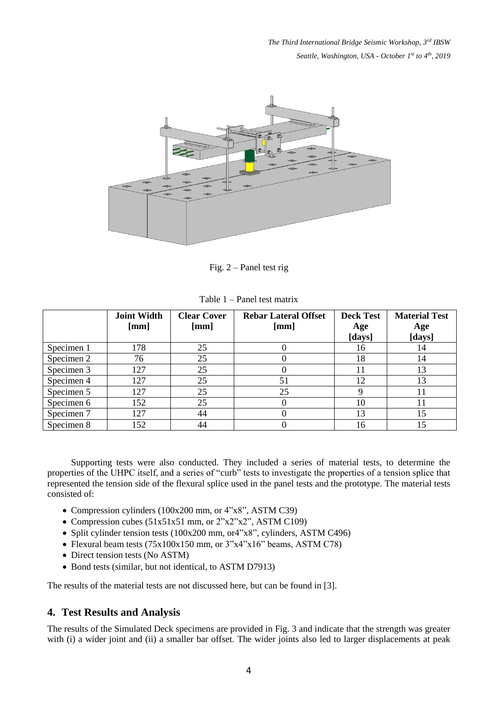*The Third International Bridge Seismic Workshop, 3rd IBSW Seattle, Washington, USA - October 1 st to 4th , 2019*



Fig. 2 – Panel test rig

Table 1 – Panel test matrix

|            | <b>Joint Width</b><br>[mm] | <b>Clear Cover</b><br>[mm] | <b>Rebar Lateral Offset</b><br>[mm] | <b>Deck Test</b><br>Age<br>[days] | <b>Material Test</b><br>Age<br>[days] |
|------------|----------------------------|----------------------------|-------------------------------------|-----------------------------------|---------------------------------------|
| Specimen 1 | 178                        | 25                         |                                     | 16                                | 14                                    |
| Specimen 2 | 76                         | 25                         |                                     | 18                                | 14                                    |
| Specimen 3 | 127                        | 25                         |                                     |                                   | 13                                    |
| Specimen 4 | 127                        | 25                         | 51                                  | 12                                | 13                                    |
| Specimen 5 | 127                        | 25                         | 25                                  |                                   | 11                                    |
| Specimen 6 | 152                        | 25                         |                                     | 10                                |                                       |
| Specimen 7 | 127                        | 44                         |                                     | 13                                | 15                                    |
| Specimen 8 | 152                        | 44                         |                                     | 16                                | 15                                    |

Supporting tests were also conducted. They included a series of material tests, to determine the properties of the UHPC itself, and a series of "curb" tests to investigate the properties of a tension splice that represented the tension side of the flexural splice used in the panel tests and the prototype. The material tests consisted of:

- Compression cylinders (100x200 mm, or 4"x8", ASTM C39)
- Compression cubes (51x51x51 mm, or 2"x2"x2", ASTM C109)
- Split cylinder tension tests (100x200 mm, or4"x8", cylinders, ASTM C496)
- Flexural beam tests (75x100x150 mm, or 3"x4"x16" beams, ASTM C78)
- Direct tension tests (No ASTM)
- Bond tests (similar, but not identical, to ASTM D7913)

The results of the material tests are not discussed here, but can be found in [3].

#### **4. Test Results and Analysis**

The results of the Simulated Deck specimens are provided in Fig. 3 and indicate that the strength was greater with (i) a wider joint and (ii) a smaller bar offset. The wider joints also led to larger displacements at peak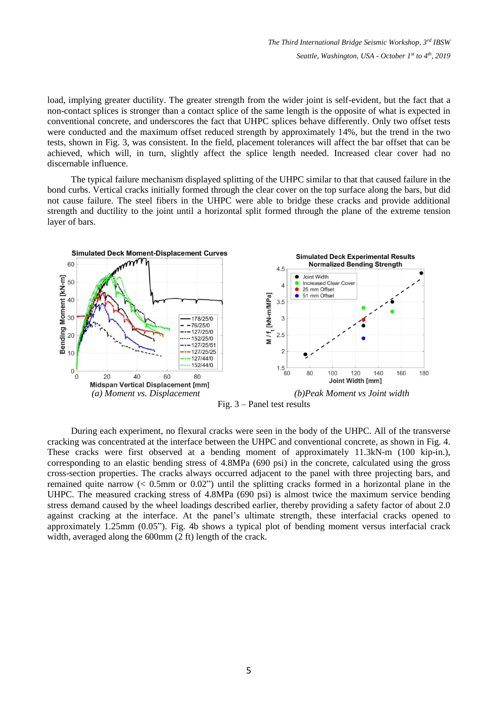load, implying greater ductility. The greater strength from the wider joint is self-evident, but the fact that a non-contact splices is stronger than a contact splice of the same length is the opposite of what is expected in conventional concrete, and underscores the fact that UHPC splices behave differently. Only two offset tests were conducted and the maximum offset reduced strength by approximately 14%, but the trend in the two tests, shown in Fig. 3, was consistent. In the field, placement tolerances will affect the bar offset that can be achieved, which will, in turn, slightly affect the splice length needed. Increased clear cover had no discernable influence.

The typical failure mechanism displayed splitting of the UHPC similar to that that caused failure in the bond curbs. Vertical cracks initially formed through the clear cover on the top surface along the bars, but did not cause failure. The steel fibers in the UHPC were able to bridge these cracks and provide additional strength and ductility to the joint until a horizontal split formed through the plane of the extreme tension layer of bars.



During each experiment, no flexural cracks were seen in the body of the UHPC. All of the transverse cracking was concentrated at the interface between the UHPC and conventional concrete, as shown in Fig. 4. These cracks were first observed at a bending moment of approximately 11.3kN-m (100 kip-in.), corresponding to an elastic bending stress of 4.8MPa (690 psi) in the concrete, calculated using the gross cross-section properties. The cracks always occurred adjacent to the panel with three projecting bars, and remained quite narrow (< 0.5mm or 0.02") until the splitting cracks formed in a horizontal plane in the UHPC. The measured cracking stress of 4.8MPa (690 psi) is almost twice the maximum service bending stress demand caused by the wheel loadings described earlier, thereby providing a safety factor of about 2.0 against cracking at the interface. At the panel's ultimate strength, these interfacial cracks opened to approximately 1.25mm (0.05"). Fig. 4b shows a typical plot of bending moment versus interfacial crack width, averaged along the 600mm (2 ft) length of the crack.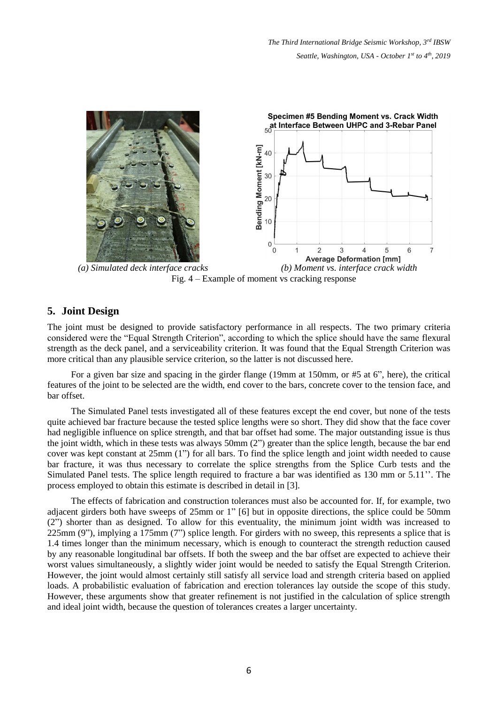



*(a) Simulated deck interface cracks (b) Moment vs. interface crack width* Fig. 4 – Example of moment vs cracking response

## **5. Joint Design**

The joint must be designed to provide satisfactory performance in all respects. The two primary criteria considered were the "Equal Strength Criterion", according to which the splice should have the same flexural strength as the deck panel, and a serviceability criterion. It was found that the Equal Strength Criterion was more critical than any plausible service criterion, so the latter is not discussed here.

For a given bar size and spacing in the girder flange (19mm at 150mm, or #5 at 6", here), the critical features of the joint to be selected are the width, end cover to the bars, concrete cover to the tension face, and bar offset.

The Simulated Panel tests investigated all of these features except the end cover, but none of the tests quite achieved bar fracture because the tested splice lengths were so short. They did show that the face cover had negligible influence on splice strength, and that bar offset had some. The major outstanding issue is thus the joint width, which in these tests was always 50mm (2") greater than the splice length, because the bar end cover was kept constant at 25mm (1") for all bars. To find the splice length and joint width needed to cause bar fracture, it was thus necessary to correlate the splice strengths from the Splice Curb tests and the Simulated Panel tests. The splice length required to fracture a bar was identified as 130 mm or 5.11''. The process employed to obtain this estimate is described in detail in [3].

The effects of fabrication and construction tolerances must also be accounted for. If, for example, two adjacent girders both have sweeps of 25mm or 1" [6] but in opposite directions, the splice could be 50mm (2") shorter than as designed. To allow for this eventuality, the minimum joint width was increased to 225mm (9"), implying a 175mm (7") splice length. For girders with no sweep, this represents a splice that is 1.4 times longer than the minimum necessary, which is enough to counteract the strength reduction caused by any reasonable longitudinal bar offsets. If both the sweep and the bar offset are expected to achieve their worst values simultaneously, a slightly wider joint would be needed to satisfy the Equal Strength Criterion. However, the joint would almost certainly still satisfy all service load and strength criteria based on applied loads. A probabilistic evaluation of fabrication and erection tolerances lay outside the scope of this study. However, these arguments show that greater refinement is not justified in the calculation of splice strength and ideal joint width, because the question of tolerances creates a larger uncertainty.